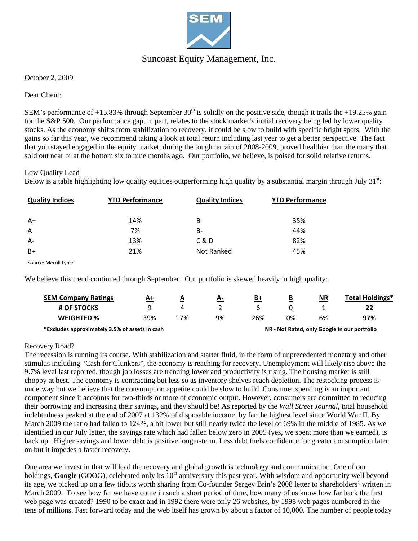

## Suncoast Equity Management, Inc.

October 2, 2009

Dear Client:

SEM's performance of  $+15.83\%$  through September  $30<sup>th</sup>$  is solidly on the positive side, though it trails the  $+19.25\%$  gain for the S&P 500. Our performance gap, in part, relates to the stock market's initial recovery being led by lower quality stocks. As the economy shifts from stabilization to recovery, it could be slow to build with specific bright spots. With the gains so far this year, we recommend taking a look at total return including last year to get a better perspective. The fact that you stayed engaged in the equity market, during the tough terrain of 2008-2009, proved healthier than the many that sold out near or at the bottom six to nine months ago. Our portfolio, we believe, is poised for solid relative returns.

#### Low Quality Lead

Below is a table highlighting low quality equities outperforming high quality by a substantial margin through July  $31<sup>st</sup>$ :

| <b>Quality Indices</b> | <b>YTD Performance</b> | <b>Quality Indices</b> | <b>YTD Performance</b> |
|------------------------|------------------------|------------------------|------------------------|
| $A+$                   | 14%                    | B                      | 35%                    |
| A                      | 7%                     | <b>B-</b>              | 44%                    |
| $A -$                  | 13%                    | C & D                  | 82%                    |
| $B+$                   | 21%                    | Not Ranked             | 45%                    |

Source: Merrill Lynch

We believe this trend continued through September. Our portfolio is skewed heavily in high quality:

| <b>SEM Company Ratings</b>                     | A+  | $\overline{\mathbf{A}}$ | <u>A-</u> | B+  | В  | <b>NR</b> | Total Holdings*                              |
|------------------------------------------------|-----|-------------------------|-----------|-----|----|-----------|----------------------------------------------|
| # OF STOCKS                                    |     |                         |           |     |    |           | 22                                           |
| <b>WEIGHTED %</b>                              | 39% | 17%                     | 9%        | 26% | 0% | 6%        | 97%                                          |
| *Excludes approximately 3.5% of assets in cash |     |                         |           |     |    |           | NR - Not Rated, only Google in our portfolio |

#### Recovery Road?

The recession is running its course. With stabilization and starter fluid, in the form of unprecedented monetary and other stimulus including "Cash for Clunkers", the economy is reaching for recovery. Unemployment will likely rise above the 9.7% level last reported, though job losses are trending lower and productivity is rising. The housing market is still choppy at best. The economy is contracting but less so as inventory shelves reach depletion. The restocking process is underway but we believe that the consumption appetite could be slow to build. Consumer spending is an important component since it accounts for two-thirds or more of economic output. However, consumers are committed to reducing their borrowing and increasing their savings, and they should be! As reported by the *Wall Street Journal,* total household indebtedness peaked at the end of 2007 at 132% of disposable income, by far the highest level since World War II. By March 2009 the ratio had fallen to 124%, a bit lower but still nearly twice the level of 69% in the middle of 1985. As we identified in our July letter, the savings rate which had fallen below zero in 2005 (yes, we spent more than we earned), is back up. Higher savings and lower debt is positive longer-term. Less debt fuels confidence for greater consumption later on but it impedes a faster recovery.

One area we invest in that will lead the recovery and global growth is technology and communication. One of our holdings, **Google** (GOOG), celebrated only its 10<sup>th</sup> anniversary this past year. With wisdom and opportunity well beyond its age, we picked up on a few tidbits worth sharing from Co-founder Sergey Brin's 2008 letter to shareholders' written in March 2009. To see how far we have come in such a short period of time, how many of us know how far back the first web page was created? 1990 to be exact and in 1992 there were only 26 websites, by 1998 web pages numbered in the tens of millions. Fast forward today and the web itself has grown by about a factor of 10,000. The number of people today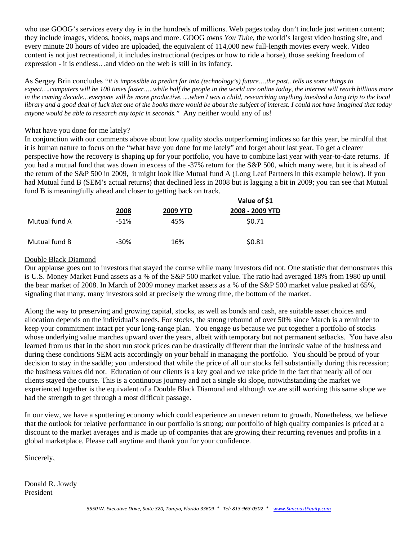who use GOOG's services every day is in the hundreds of millions. Web pages today don't include just written content; they include images, videos, books, maps and more. GOOG owns *You Tube*, the world's largest video hosting site, and every minute 20 hours of video are uploaded, the equivalent of 114,000 new full-length movies every week. Video content is not just recreational, it includes instructional (recipes or how to ride a horse), those seeking freedom of expression - it is endless…and video on the web is still in its infancy.

As Sergey Brin concludes *"it is impossible to predict far into (technology's) future….the past.. tells us some things to expect….computers will be 100 times faster…..while half the people in the world are online today, the internet will reach billions more in the coming decade…everyone will be more productive…..when I was a child, researching anything involved a long trip to the local library and a good deal of luck that one of the books there would be about the subject of interest. I could not have imagined that today anyone would be able to research any topic in seconds."* Any neither would any of us!

#### What have you done for me lately?

In conjunction with our comments above about low quality stocks outperforming indices so far this year, be mindful that it is human nature to focus on the "what have you done for me lately" and forget about last year. To get a clearer perspective how the recovery is shaping up for your portfolio, you have to combine last year with year-to-date returns. If you had a mutual fund that was down in excess of the -37% return for the S&P 500, which many were, but it is ahead of the return of the S&P 500 in 2009, it might look like Mutual fund A (Long Leaf Partners in this example below). If you had Mutual fund B (SEM's actual returns) that declined less in 2008 but is lagging a bit in 2009; you can see that Mutual fund B is meaningfully ahead and closer to getting back on track.

|               |        |                 | Value of \$1    |  |  |
|---------------|--------|-----------------|-----------------|--|--|
|               | 2008   | <b>2009 YTD</b> | 2008 - 2009 YTD |  |  |
| Mutual fund A | $-51%$ | 45%             | \$0.71          |  |  |
| Mutual fund B | -30%   | 16%             | \$0.81          |  |  |

### Double Black Diamond

Our applause goes out to investors that stayed the course while many investors did not. One statistic that demonstrates this is U.S. Money Market Fund assets as a % of the S&P 500 market value. The ratio had averaged 18% from 1980 up until the bear market of 2008. In March of 2009 money market assets as a % of the S&P 500 market value peaked at 65%, signaling that many, many investors sold at precisely the wrong time, the bottom of the market.

Along the way to preserving and growing capital, stocks, as well as bonds and cash, are suitable asset choices and allocation depends on the individual's needs. For stocks, the strong rebound of over 50% since March is a reminder to keep your commitment intact per your long-range plan. You engage us because we put together a portfolio of stocks whose underlying value marches upward over the years, albeit with temporary but not permanent setbacks. You have also learned from us that in the short run stock prices can be drastically different than the intrinsic value of the business and during these conditions SEM acts accordingly on your behalf in managing the portfolio. You should be proud of your decision to stay in the saddle; you understood that while the price of all our stocks fell substantially during this recession; the business values did not. Education of our clients is a key goal and we take pride in the fact that nearly all of our clients stayed the course. This is a continuous journey and not a single ski slope, notwithstanding the market we experienced together is the equivalent of a Double Black Diamond and although we are still working this same slope we had the strength to get through a most difficult passage.

In our view, we have a sputtering economy which could experience an uneven return to growth. Nonetheless, we believe that the outlook for relative performance in our portfolio is strong; our portfolio of high quality companies is priced at a discount to the market averages and is made up of companies that are growing their recurring revenues and profits in a global marketplace. Please call anytime and thank you for your confidence.

Sincerely,

Donald R. Jowdy President